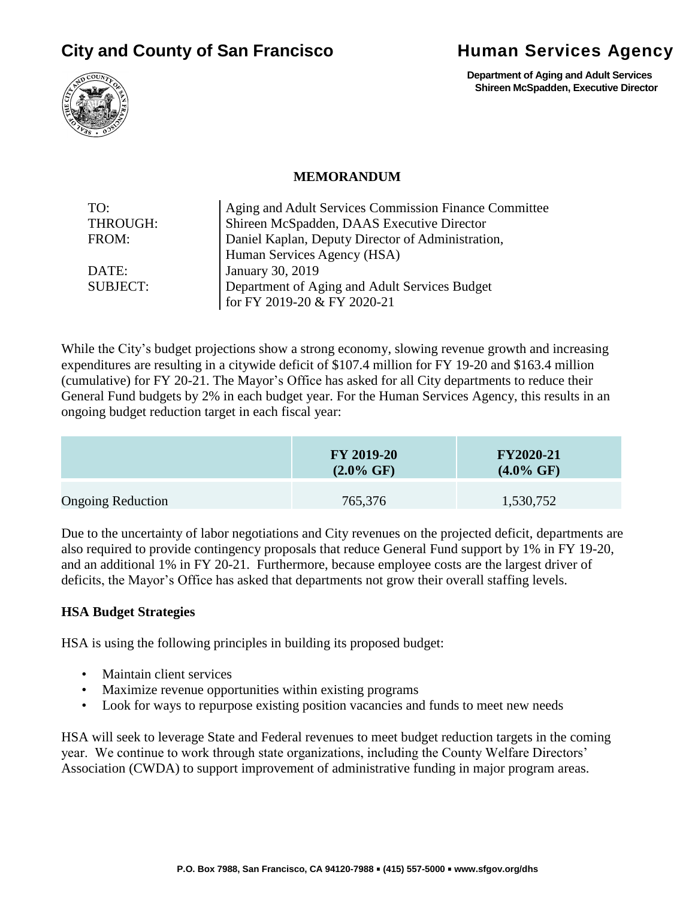# **City and County of San Francisco Bullet and Services Agency**



 **Department of Aging and Adult Services Shireen McSpadden, Executive Director**



**MEMORANDUM**

| TO:             | Aging and Adult Services Commission Finance Committee |  |
|-----------------|-------------------------------------------------------|--|
| THROUGH:        | Shireen McSpadden, DAAS Executive Director            |  |
| FROM:           | Daniel Kaplan, Deputy Director of Administration,     |  |
|                 | Human Services Agency (HSA)                           |  |
| DATE:           | January 30, 2019                                      |  |
| <b>SUBJECT:</b> | Department of Aging and Adult Services Budget         |  |
|                 | for FY 2019-20 & FY 2020-21                           |  |

While the City's budget projections show a strong economy, slowing revenue growth and increasing expenditures are resulting in a citywide deficit of \$107.4 million for FY 19-20 and \$163.4 million (cumulative) for FY 20-21. The Mayor's Office has asked for all City departments to reduce their General Fund budgets by 2% in each budget year. For the Human Services Agency, this results in an ongoing budget reduction target in each fiscal year:

|                          | <b>FY 2019-20</b><br>$(2.0\% \text{ GF})$ | <b>FY2020-21</b><br>$(4.0\% \text{ GF})$ |
|--------------------------|-------------------------------------------|------------------------------------------|
| <b>Ongoing Reduction</b> | 765,376                                   | 1,530,752                                |

Due to the uncertainty of labor negotiations and City revenues on the projected deficit, departments are also required to provide contingency proposals that reduce General Fund support by 1% in FY 19-20, and an additional 1% in FY 20-21. Furthermore, because employee costs are the largest driver of deficits, the Mayor's Office has asked that departments not grow their overall staffing levels.

#### **HSA Budget Strategies**

HSA is using the following principles in building its proposed budget:

- Maintain client services
- Maximize revenue opportunities within existing programs
- Look for ways to repurpose existing position vacancies and funds to meet new needs

HSA will seek to leverage State and Federal revenues to meet budget reduction targets in the coming year. We continue to work through state organizations, including the County Welfare Directors' Association (CWDA) to support improvement of administrative funding in major program areas.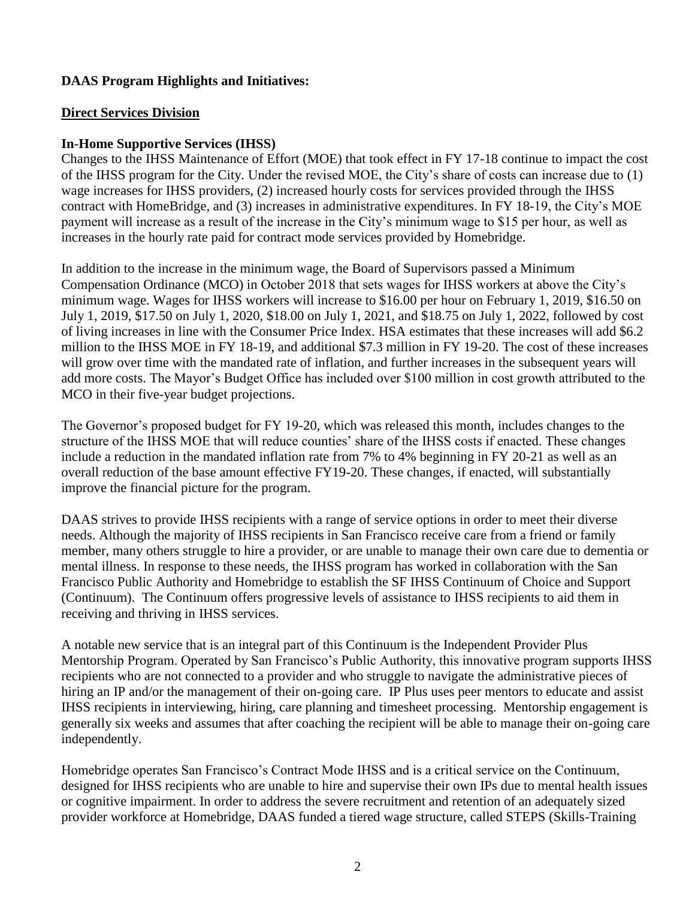# **DAAS Program Highlights and Initiatives:**

#### **Direct Services Division**

#### **In-Home Supportive Services (IHSS)**

Changes to the IHSS Maintenance of Effort (MOE) that took effect in FY 17-18 continue to impact the cost of the IHSS program for the City. Under the revised MOE, the City's share of costs can increase due to (1) wage increases for IHSS providers, (2) increased hourly costs for services provided through the IHSS contract with HomeBridge, and (3) increases in administrative expenditures. In FY 18-19, the City's MOE payment will increase as a result of the increase in the City's minimum wage to \$15 per hour, as well as increases in the hourly rate paid for contract mode services provided by Homebridge.

In addition to the increase in the minimum wage, the Board of Supervisors passed a Minimum Compensation Ordinance (MCO) in October 2018 that sets wages for IHSS workers at above the City's minimum wage. Wages for IHSS workers will increase to \$16.00 per hour on February 1, 2019, \$16.50 on July 1, 2019, \$17.50 on July 1, 2020, \$18.00 on July 1, 2021, and \$18.75 on July 1, 2022, followed by cost of living increases in line with the Consumer Price Index. HSA estimates that these increases will add \$6.2 million to the IHSS MOE in FY 18-19, and additional \$7.3 million in FY 19-20. The cost of these increases will grow over time with the mandated rate of inflation, and further increases in the subsequent years will add more costs. The Mayor's Budget Office has included over \$100 million in cost growth attributed to the MCO in their five-year budget projections.

The Governor's proposed budget for FY 19-20, which was released this month, includes changes to the structure of the IHSS MOE that will reduce counties' share of the IHSS costs if enacted. These changes include a reduction in the mandated inflation rate from 7% to 4% beginning in FY 20-21 as well as an overall reduction of the base amount effective FY19-20. These changes, if enacted, will substantially improve the financial picture for the program.

DAAS strives to provide IHSS recipients with a range of service options in order to meet their diverse needs. Although the majority of IHSS recipients in San Francisco receive care from a friend or family member, many others struggle to hire a provider, or are unable to manage their own care due to dementia or mental illness. In response to these needs, the IHSS program has worked in collaboration with the San Francisco Public Authority and Homebridge to establish the SF IHSS Continuum of Choice and Support (Continuum). The Continuum offers progressive levels of assistance to IHSS recipients to aid them in receiving and thriving in IHSS services.

A notable new service that is an integral part of this Continuum is the Independent Provider Plus Mentorship Program. Operated by San Francisco's Public Authority, this innovative program supports IHSS recipients who are not connected to a provider and who struggle to navigate the administrative pieces of hiring an IP and/or the management of their on-going care. IP Plus uses peer mentors to educate and assist IHSS recipients in interviewing, hiring, care planning and timesheet processing. Mentorship engagement is generally six weeks and assumes that after coaching the recipient will be able to manage their on-going care independently.

Homebridge operates San Francisco's Contract Mode IHSS and is a critical service on the Continuum, designed for IHSS recipients who are unable to hire and supervise their own IPs due to mental health issues or cognitive impairment. In order to address the severe recruitment and retention of an adequately sized provider workforce at Homebridge, DAAS funded a tiered wage structure, called STEPS (Skills-Training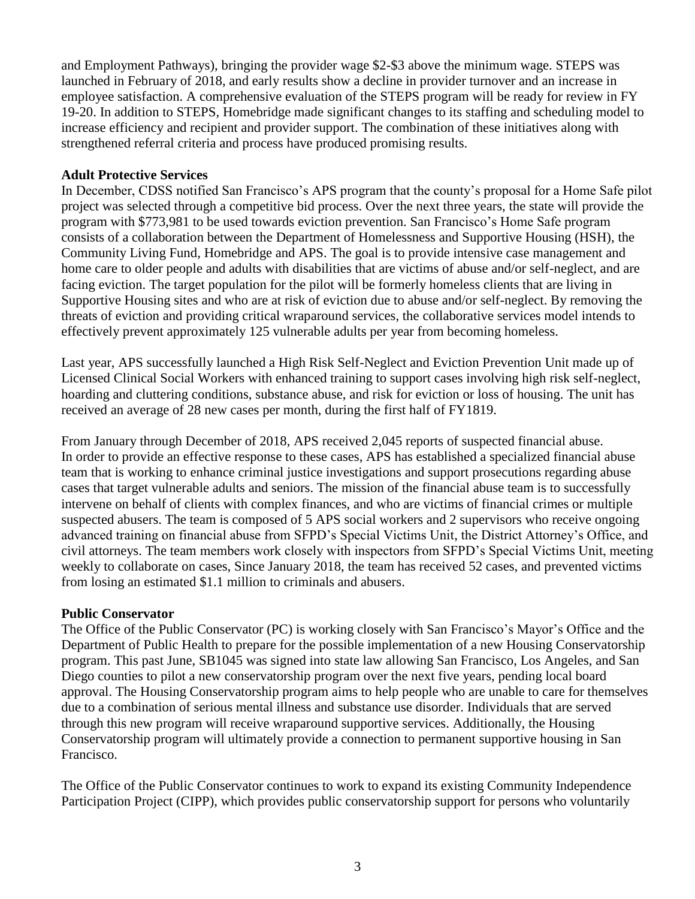and Employment Pathways), bringing the provider wage \$2-\$3 above the minimum wage. STEPS was launched in February of 2018, and early results show a decline in provider turnover and an increase in employee satisfaction. A comprehensive evaluation of the STEPS program will be ready for review in FY 19-20. In addition to STEPS, Homebridge made significant changes to its staffing and scheduling model to increase efficiency and recipient and provider support. The combination of these initiatives along with strengthened referral criteria and process have produced promising results.

#### **Adult Protective Services**

In December, CDSS notified San Francisco's APS program that the county's proposal for a Home Safe pilot project was selected through a competitive bid process. Over the next three years, the state will provide the program with \$773,981 to be used towards eviction prevention. San Francisco's Home Safe program consists of a collaboration between the Department of Homelessness and Supportive Housing (HSH), the Community Living Fund, Homebridge and APS. The goal is to provide intensive case management and home care to older people and adults with disabilities that are victims of abuse and/or self-neglect, and are facing eviction. The target population for the pilot will be formerly homeless clients that are living in Supportive Housing sites and who are at risk of eviction due to abuse and/or self-neglect. By removing the threats of eviction and providing critical wraparound services, the collaborative services model intends to effectively prevent approximately 125 vulnerable adults per year from becoming homeless.

Last year, APS successfully launched a High Risk Self-Neglect and Eviction Prevention Unit made up of Licensed Clinical Social Workers with enhanced training to support cases involving high risk self-neglect, hoarding and cluttering conditions, substance abuse, and risk for eviction or loss of housing. The unit has received an average of 28 new cases per month, during the first half of FY1819.

From January through December of 2018, APS received 2,045 reports of suspected financial abuse. In order to provide an effective response to these cases, APS has established a specialized financial abuse team that is working to enhance criminal justice investigations and support prosecutions regarding abuse cases that target vulnerable adults and seniors. The mission of the financial abuse team is to successfully intervene on behalf of clients with complex finances, and who are victims of financial crimes or multiple suspected abusers. The team is composed of 5 APS social workers and 2 supervisors who receive ongoing advanced training on financial abuse from SFPD's Special Victims Unit, the District Attorney's Office, and civil attorneys. The team members work closely with inspectors from SFPD's Special Victims Unit, meeting weekly to collaborate on cases, Since January 2018, the team has received 52 cases, and prevented victims from losing an estimated \$1.1 million to criminals and abusers.

#### **Public Conservator**

The Office of the Public Conservator (PC) is working closely with San Francisco's Mayor's Office and the Department of Public Health to prepare for the possible implementation of a new Housing Conservatorship program. This past June, SB1045 was signed into state law allowing San Francisco, Los Angeles, and San Diego counties to pilot a new conservatorship program over the next five years, pending local board approval. The Housing Conservatorship program aims to help people who are unable to care for themselves due to a combination of serious mental illness and substance use disorder. Individuals that are served through this new program will receive wraparound supportive services. Additionally, the Housing Conservatorship program will ultimately provide a connection to permanent supportive housing in San Francisco.

The Office of the Public Conservator continues to work to expand its existing Community Independence Participation Project (CIPP), which provides public conservatorship support for persons who voluntarily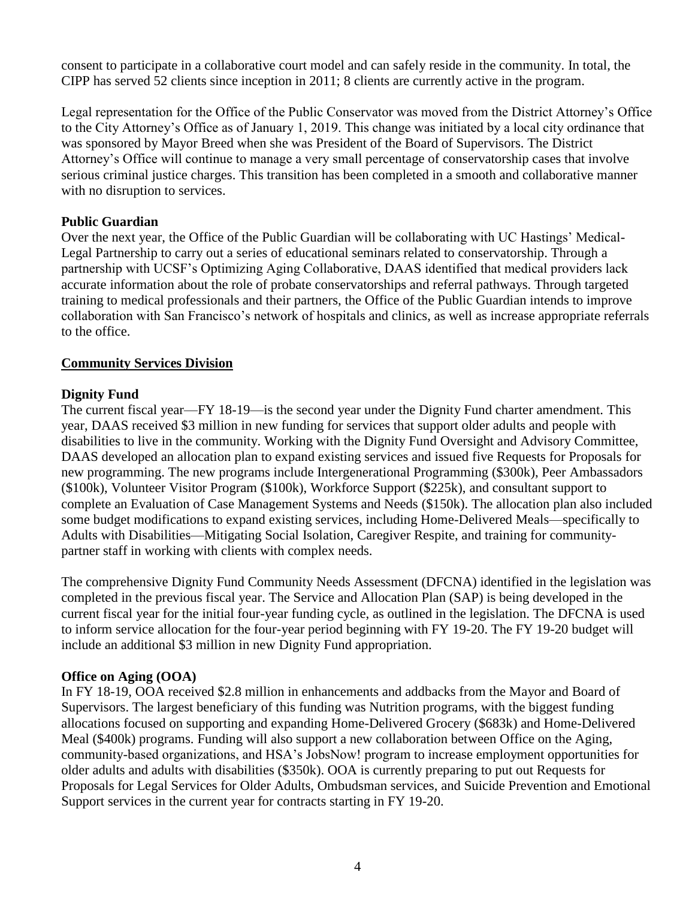consent to participate in a collaborative court model and can safely reside in the community. In total, the CIPP has served 52 clients since inception in 2011; 8 clients are currently active in the program.

Legal representation for the Office of the Public Conservator was moved from the District Attorney's Office to the City Attorney's Office as of January 1, 2019. This change was initiated by a local city ordinance that was sponsored by Mayor Breed when she was President of the Board of Supervisors. The District Attorney's Office will continue to manage a very small percentage of conservatorship cases that involve serious criminal justice charges. This transition has been completed in a smooth and collaborative manner with no disruption to services.

#### **Public Guardian**

Over the next year, the Office of the Public Guardian will be collaborating with UC Hastings' Medical-Legal Partnership to carry out a series of educational seminars related to conservatorship. Through a partnership with UCSF's Optimizing Aging Collaborative, DAAS identified that medical providers lack accurate information about the role of probate conservatorships and referral pathways. Through targeted training to medical professionals and their partners, the Office of the Public Guardian intends to improve collaboration with San Francisco's network of hospitals and clinics, as well as increase appropriate referrals to the office.

#### **Community Services Division**

# **Dignity Fund**

The current fiscal year—FY 18-19—is the second year under the Dignity Fund charter amendment. This year, DAAS received \$3 million in new funding for services that support older adults and people with disabilities to live in the community. Working with the Dignity Fund Oversight and Advisory Committee, DAAS developed an allocation plan to expand existing services and issued five Requests for Proposals for new programming. The new programs include Intergenerational Programming (\$300k), Peer Ambassadors (\$100k), Volunteer Visitor Program (\$100k), Workforce Support (\$225k), and consultant support to complete an Evaluation of Case Management Systems and Needs (\$150k). The allocation plan also included some budget modifications to expand existing services, including Home-Delivered Meals—specifically to Adults with Disabilities—Mitigating Social Isolation, Caregiver Respite, and training for communitypartner staff in working with clients with complex needs.

The comprehensive Dignity Fund Community Needs Assessment (DFCNA) identified in the legislation was completed in the previous fiscal year. The Service and Allocation Plan (SAP) is being developed in the current fiscal year for the initial four-year funding cycle, as outlined in the legislation. The DFCNA is used to inform service allocation for the four-year period beginning with FY 19-20. The FY 19-20 budget will include an additional \$3 million in new Dignity Fund appropriation.

#### **Office on Aging (OOA)**

In FY 18-19, OOA received \$2.8 million in enhancements and addbacks from the Mayor and Board of Supervisors. The largest beneficiary of this funding was Nutrition programs, with the biggest funding allocations focused on supporting and expanding Home-Delivered Grocery (\$683k) and Home-Delivered Meal (\$400k) programs. Funding will also support a new collaboration between Office on the Aging, community-based organizations, and HSA's JobsNow! program to increase employment opportunities for older adults and adults with disabilities (\$350k). OOA is currently preparing to put out Requests for Proposals for Legal Services for Older Adults, Ombudsman services, and Suicide Prevention and Emotional Support services in the current year for contracts starting in FY 19-20.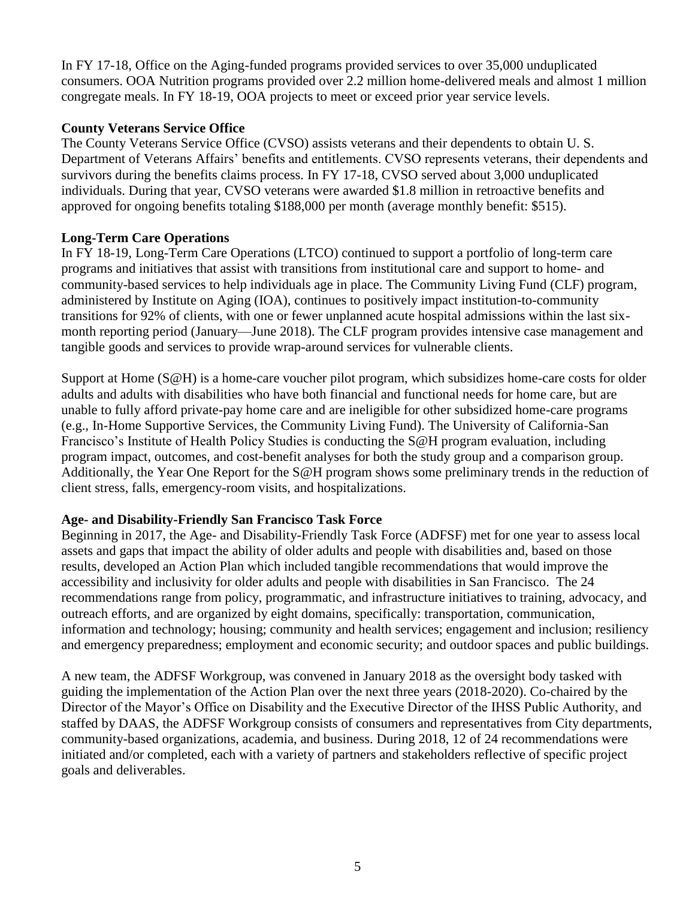In FY 17-18, Office on the Aging-funded programs provided services to over 35,000 unduplicated consumers. OOA Nutrition programs provided over 2.2 million home-delivered meals and almost 1 million congregate meals. In FY 18-19, OOA projects to meet or exceed prior year service levels.

#### **County Veterans Service Office**

The County Veterans Service Office (CVSO) assists veterans and their dependents to obtain U. S. Department of Veterans Affairs' benefits and entitlements. CVSO represents veterans, their dependents and survivors during the benefits claims process. In FY 17-18, CVSO served about 3,000 unduplicated individuals. During that year, CVSO veterans were awarded \$1.8 million in retroactive benefits and approved for ongoing benefits totaling \$188,000 per month (average monthly benefit: \$515).

# **Long-Term Care Operations**

In FY 18-19, Long-Term Care Operations (LTCO) continued to support a portfolio of long-term care programs and initiatives that assist with transitions from institutional care and support to home- and community-based services to help individuals age in place. The Community Living Fund (CLF) program, administered by Institute on Aging (IOA), continues to positively impact institution-to-community transitions for 92% of clients, with one or fewer unplanned acute hospital admissions within the last sixmonth reporting period (January—June 2018). The CLF program provides intensive case management and tangible goods and services to provide wrap-around services for vulnerable clients.

Support at Home (S@H) is a home-care voucher pilot program, which subsidizes home-care costs for older adults and adults with disabilities who have both financial and functional needs for home care, but are unable to fully afford private-pay home care and are ineligible for other subsidized home-care programs (e.g., In-Home Supportive Services, the Community Living Fund). The University of California-San Francisco's Institute of Health Policy Studies is conducting the S@H program evaluation, including program impact, outcomes, and cost-benefit analyses for both the study group and a comparison group. Additionally, the Year One Report for the S@H program shows some preliminary trends in the reduction of client stress, falls, emergency-room visits, and hospitalizations.

#### **Age- and Disability-Friendly San Francisco Task Force**

Beginning in 2017, the Age- and Disability-Friendly Task Force (ADFSF) met for one year to assess local assets and gaps that impact the ability of older adults and people with disabilities and, based on those results, developed an Action Plan which included tangible recommendations that would improve the accessibility and inclusivity for older adults and people with disabilities in San Francisco. The 24 recommendations range from policy, programmatic, and infrastructure initiatives to training, advocacy, and outreach efforts, and are organized by eight domains, specifically: transportation, communication, information and technology; housing; community and health services; engagement and inclusion; resiliency and emergency preparedness; employment and economic security; and outdoor spaces and public buildings.

A new team, the ADFSF Workgroup, was convened in January 2018 as the oversight body tasked with guiding the implementation of the Action Plan over the next three years (2018-2020). Co-chaired by the Director of the Mayor's Office on Disability and the Executive Director of the IHSS Public Authority, and staffed by DAAS, the ADFSF Workgroup consists of consumers and representatives from City departments, community-based organizations, academia, and business. During 2018, 12 of 24 recommendations were initiated and/or completed, each with a variety of partners and stakeholders reflective of specific project goals and deliverables.